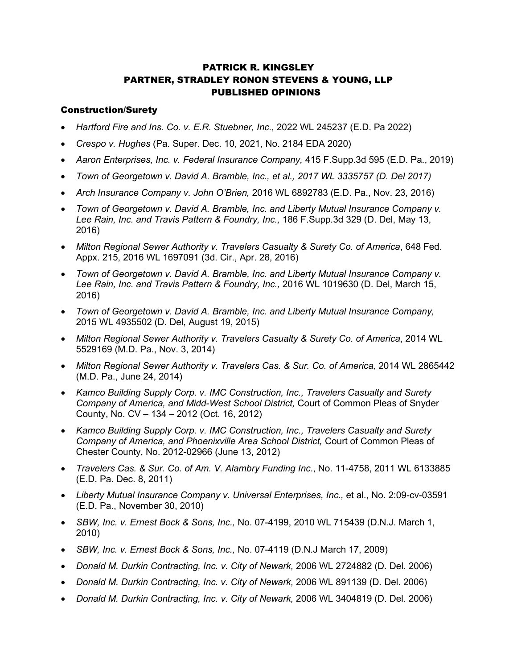# PATRICK R. KINGSLEY PARTNER, STRADLEY RONON STEVENS & YOUNG, LLP PUBLISHED OPINIONS

### Construction/Surety

- *Hartford Fire and Ins. Co. v. E.R. Stuebner, Inc.,* 2022 WL 245237 (E.D. Pa 2022)
- *Crespo v. Hughes* (Pa. Super. Dec. 10, 2021, No. 2184 EDA 2020)
- *Aaron Enterprises, Inc. v. Federal Insurance Company,* 415 F.Supp.3d 595 (E.D. Pa., 2019)
- *Town of Georgetown v. David A. Bramble, Inc., et al., 2017 WL 3335757 (D. Del 2017)*
- *Arch Insurance Company v. John O'Brien,* 2016 WL 6892783 (E.D. Pa., Nov. 23, 2016)
- *Town of Georgetown v. David A. Bramble, Inc. and Liberty Mutual Insurance Company v. Lee Rain, Inc. and Travis Pattern & Foundry, Inc.,* 186 F.Supp.3d 329 (D. Del, May 13, 2016)
- Milton Regional Sewer Authority v. Travelers Casualty & Surety Co. of America, 648 Fed. Appx. 215, 2016 WL 1697091 (3d. Cir., Apr. 28, 2016)
- *Town of Georgetown v. David A. Bramble, Inc. and Liberty Mutual Insurance Company v. Lee Rain, Inc. and Travis Pattern & Foundry, Inc.,* 2016 WL 1019630 (D. Del, March 15, 2016)
- *Town of Georgetown v. David A. Bramble, Inc. and Liberty Mutual Insurance Company,*  2015 WL 4935502 (D. Del, August 19, 2015)
- *Milton Regional Sewer Authority v. Travelers Casualty & Surety Co. of America*, 2014 WL 5529169 (M.D. Pa., Nov. 3, 2014)
- Milton Regional Sewer Authority v. Travelers Cas. & Sur. Co. of America, 2014 WL 2865442 (M.D. Pa., June 24, 2014)
- *Kamco Building Supply Corp. v. IMC Construction, Inc., Travelers Casualty and Surety Company of America, and Midd-West School District,* Court of Common Pleas of Snyder County, No. CV – 134 – 2012 (Oct. 16, 2012)
- *Kamco Building Supply Corp. v. IMC Construction, Inc., Travelers Casualty and Surety Company of America, and Phoenixville Area School District,* Court of Common Pleas of Chester County, No. 2012-02966 (June 13, 2012)
- *Travelers Cas. & Sur. Co. of Am. V. Alambry Funding Inc*., No. 11-4758, 2011 WL 6133885 (E.D. Pa. Dec. 8, 2011)
- *Liberty Mutual Insurance Company v. Universal Enterprises, Inc.,* et al., No. 2:09-cv-03591 (E.D. Pa., November 30, 2010)
- *SBW, Inc. v. Ernest Bock & Sons, Inc.,* No. 07-4199, 2010 WL 715439 (D.N.J. March 1, 2010)
- *SBW, Inc. v. Ernest Bock & Sons, Inc.,* No. 07-4119 (D.N.J March 17, 2009)
- *Donald M. Durkin Contracting, Inc. v. City of Newark,* 2006 WL 2724882 (D. Del. 2006)
- *Donald M. Durkin Contracting, Inc. v. City of Newark,* 2006 WL 891139 (D. Del. 2006)
- *Donald M. Durkin Contracting, Inc. v. City of Newark,* 2006 WL 3404819 (D. Del. 2006)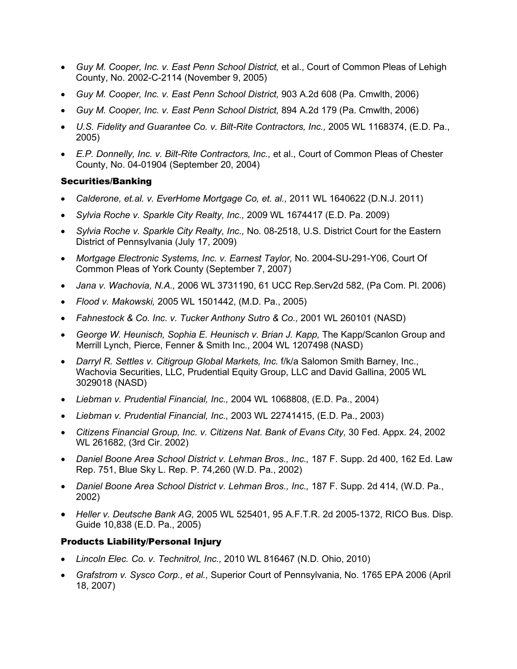- *Guy M. Cooper, Inc. v. East Penn School District,* et al., Court of Common Pleas of Lehigh County, No. 2002-C-2114 (November 9, 2005)
- *Guy M. Cooper, Inc. v. East Penn School District,* 903 A.2d 608 (Pa. Cmwlth, 2006)
- *Guy M. Cooper, Inc. v. East Penn School District,* 894 A.2d 179 (Pa. Cmwlth, 2006)
- *U.S. Fidelity and Guarantee Co. v. Bilt-Rite Contractors, Inc.,* 2005 WL 1168374, (E.D. Pa., 2005)
- *E.P. Donnelly, Inc. v. Bilt-Rite Contractors, Inc.,* et al., Court of Common Pleas of Chester County, No. 04-01904 (September 20, 2004)

### Securities/Banking

- *Calderone, et.al. v. EverHome Mortgage Co, et. al.,* 2011 WL 1640622 (D.N.J. 2011)
- *Sylvia Roche v. Sparkle City Realty, Inc.,* 2009 WL 1674417 (E.D. Pa. 2009)
- *Sylvia Roche v. Sparkle City Realty, Inc.,* No. 08-2518, U.S. District Court for the Eastern District of Pennsylvania (July 17, 2009)
- *Mortgage Electronic Systems, Inc. v. Earnest Taylor,* No. 2004-SU-291-Y06, Court Of Common Pleas of York County (September 7, 2007)
- *Jana v. Wachovia, N.A.,* 2006 WL 3731190, 61 UCC Rep.Serv2d 582, (Pa Com. Pl. 2006)
- *Flood v. Makowski,* 2005 WL 1501442, (M.D. Pa., 2005)
- *Fahnestock & Co. Inc. v. Tucker Anthony Sutro & Co.,* 2001 WL 260101 (NASD)
- *George W. Heunisch, Sophia E. Heunisch v. Brian J. Kapp,* The Kapp/Scanlon Group and Merrill Lynch, Pierce, Fenner & Smith Inc., 2004 WL 1207498 (NASD)
- *Darryl R. Settles v. Citigroup Global Markets, Inc.* f/k/a Salomon Smith Barney, Inc., Wachovia Securities, LLC, Prudential Equity Group, LLC and David Gallina, 2005 WL 3029018 (NASD)
- *Liebman v. Prudential Financial, Inc.,* 2004 WL 1068808, (E.D. Pa., 2004)
- *Liebman v. Prudential Financial, Inc.,* 2003 WL 22741415, (E.D. Pa., 2003)
- *Citizens Financial Group, Inc. v. Citizens Nat. Bank of Evans City,* 30 Fed. Appx. 24, 2002 WL 261682, (3rd Cir. 2002)
- *Daniel Boone Area School District v. Lehman Bros., Inc.,* 187 F. Supp. 2d 400, 162 Ed. Law Rep. 751, Blue Sky L. Rep. P. 74,260 (W.D. Pa., 2002)
- *Daniel Boone Area School District v. Lehman Bros., Inc.,* 187 F. Supp. 2d 414, (W.D. Pa., 2002)
- *Heller v. Deutsche Bank AG,* 2005 WL 525401, 95 A.F.T.R. 2d 2005-1372, RICO Bus. Disp. Guide 10,838 (E.D. Pa., 2005)

## Products Liability/Personal Injury

- *Lincoln Elec. Co. v. Technitrol, Inc.,* 2010 WL 816467 (N.D. Ohio, 2010)
- *Grafstrom v. Sysco Corp., et al.,* Superior Court of Pennsylvania, No. 1765 EPA 2006 (April 18, 2007)